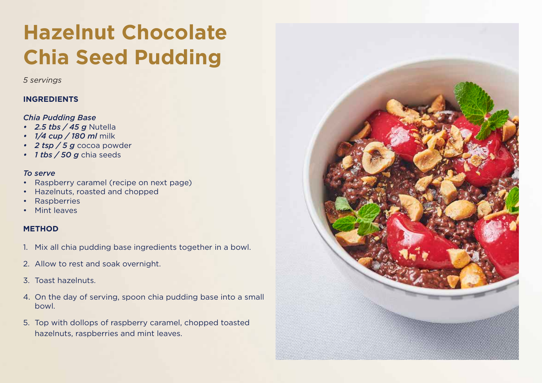# **Hazelnut Chocolate Chia Seed Pudding Hazelnut Chocolate Chia Seed Pudding**

*5 servings*

## **INGREDIENTS**

#### *Chia Pudding Base Chia Pudding Base*

- *2.5 tbs / 45 g* Nutella *• 2.5 tbs / 45 g* Nutella
- *1/4 cup / 180 ml* milk *• 1/4 cup / 180 ml* milk
- 2 tsp / 5 g cocoa powder
- *1 tbs / 50 g* chia seeds *• 1 tbs / 50 g* chia seeds

#### *To Serve To serve*

- Raspberry caramel (recipe on next page) Raspberry caramel (recipe on next page)
- Hazelnuts, roasted and chopped
- Raspberries Raspberries
- Mint leaves

#### **METHOD**

- 1. Mix all chia pudding base ingredients together in a bowl.
- Allow to rest and soak overnight. 2. Allow to rest and soak overnight.
- 3. Toast hazelnuts.
- On the day of serving, spoon Chia Pudding Base into a small bowl. 4. On the day of serving, spoon chia pudding base into a small bowl.
- hazelnuts, raspberries and mint leaves. 5. Top with dollops of raspberry caramel, chopped toasted